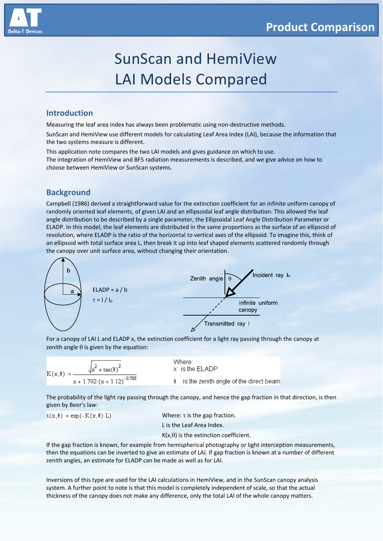

# SunScan and HemiView LAI Models Compared

## **Introduction**

Measuring the leaf area index has always been problematic using non‐destructive methods.

SunScan and HemiView use different models for calculating Leaf Area Index (LAI), because the information that the two systems measure is different.

This application note compares the two LAI models and gives guidance on which to use. The integration of HemiView and BF5 radiation measurements is described, and we give advice on how to choose between HemiView or SunScan systems.

# **Background**

Campbell (1986) derived a straightforward value for the extinction coefficient for an infinite uniform canopy of randomly oriented leaf elements, of given LAI and an ellipsoidal leaf angle distribution. This allowed the leaf angle distribution to be described by a single parameter, the Ellipsoidal Leaf Angle Distribution Parameter or ELADP. In this model, the leaf elements are distributed in the same proportions as the surface of an ellipsoid of revolution, where ELADP is the ratio of the horizontal to vertical axes of the ellipsoid. To imagine this, think of an ellipsoid with total surface area L, then break it up into leaf shaped elements scattered randomly through the canopy over unit surface area, without changing their orientation.



For a canopy of LAI L and ELADP x, the extinction coefficient for a light ray passing through the canopy at zenith angle  $\theta$  is given by the equation:

| $\sqrt{x^2 + \tan(\theta)^2}$  | Where:                                   |
|--------------------------------|------------------------------------------|
| $K(x, \theta) =$ —             | x is the ELADP                           |
| $x + 1.702(x + 1.12)^{-0.708}$ | 8 is the zenith angle of the direct beam |

The probability of the light ray passing through the canopy, and hence the gap fraction in that direction, is then given by Beer's law:

 $\tau(x, \theta) := \exp(-K(x, \theta) \cdot L)$ 

Where:  $\tau$  is the gap fraction. L is the Leaf Area Index.  $K(x,\theta)$  is the extinction coefficient.

If the gap fraction is known, for example from hemispherical photography or light interception measurements, then the equations can be inverted to give an estimate of LAI. If gap fraction is known at a number of different zenith angles, an estimate for ELADP can be made as well as for LAI.

Inversions of this type are used for the LAI calculations in HemiView, and in the SunScan canopy analysis system. A further point to note is that this model is completely independent of scale, so that the actual thickness of the canopy does not make any difference, only the total LAI of the whole canopy matters.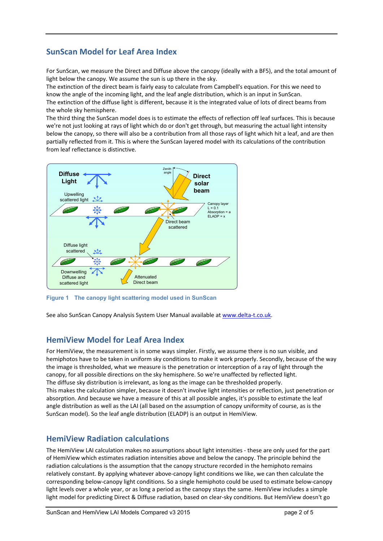# **SunScan Model for Leaf Area Index**

For SunScan, we measure the Direct and Diffuse above the canopy (ideally with a BF5), and the total amount of light below the canopy. We assume the sun is up there in the sky.

The extinction of the direct beam is fairly easy to calculate from Campbell's equation. For this we need to know the angle of the incoming light, and the leaf angle distribution, which is an input in SunScan. The extinction of the diffuse light is different, because it is the integrated value of lots of direct beams from the whole sky hemisphere.

The third thing the SunScan model does is to estimate the effects of reflection off leaf surfaces. This is because we're not just looking at rays of light which do or don't get through, but measuring the actual light intensity below the canopy, so there will also be a contribution from all those rays of light which hit a leaf, and are then partially reflected from it. This is where the SunScan layered model with its calculations of the contribution from leaf reflectance is distinctive.



**Figure 1 The canopy light scattering model used in SunScan** 

See also SunScan Canopy Analysis System User Manual available at www.delta‐t.co.uk.

# **HemiView Model for Leaf Area Index**

For HemiView, the measurement is in some ways simpler. Firstly, we assume there is no sun visible, and hemiphotos have to be taken in uniform sky conditions to make it work properly. Secondly, because of the way the image is thresholded, what we measure is the penetration or interception of a ray of light through the canopy, for all possible directions on the sky hemisphere. So we're unaffected by reflected light. The diffuse sky distribution is irrelevant, as long as the image can be thresholded properly. This makes the calculation simpler, because it doesn't involve light intensities or reflection, just penetration or absorption. And because we have a measure of this at all possible angles, it's possible to estimate the leaf angle distribution as well as the LAI (all based on the assumption of canopy uniformity of course, as is the SunScan model). So the leaf angle distribution (ELADP) is an output in HemiView.

# **HemiView Radiation calculations**

The HemiView LAI calculation makes no assumptions about light intensities ‐ these are only used for the part of HemiView which estimates radiation intensities above and below the canopy. The principle behind the radiation calculations is the assumption that the canopy structure recorded in the hemiphoto remains relatively constant. By applying whatever above‐canopy light conditions we like, we can then calculate the corresponding below‐canopy light conditions. So a single hemiphoto could be used to estimate below‐canopy light levels over a whole year, or as long a period as the canopy stays the same. HemiView includes a simple light model for predicting Direct & Diffuse radiation, based on clear‐sky conditions. But HemiView doesn't go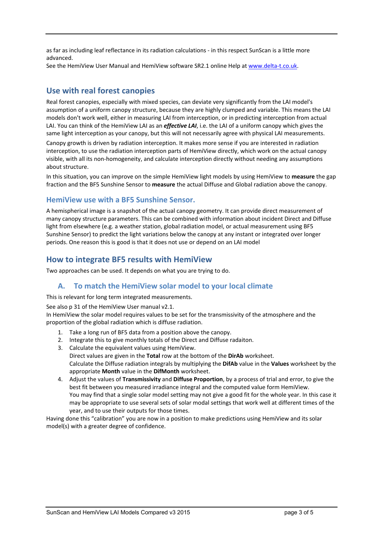as far as including leaf reflectance in its radiation calculations ‐ in this respect SunScan is a little more advanced.

See the HemiView User Manual and HemiView software SR2.1 online Help at www.delta-t.co.uk.

# **Use with real forest canopies**

Real forest canopies, especially with mixed species, can deviate very significantly from the LAI model's assumption of a uniform canopy structure, because they are highly clumped and variable. This means the LAI models don't work well, either in measuring LAI from interception, or in predicting interception from actual LAI. You can think of the HemiView LAI as an *effective LAI*, i.e. the LAI of a uniform canopy which gives the same light interception as your canopy, but this will not necessarily agree with physical LAI measurements.

Canopy growth is driven by radiation interception. It makes more sense if you are interested in radiation interception, to use the radiation interception parts of HemiView directly, which work on the actual canopy visible, with all its non‐homogeneity, and calculate interception directly without needing any assumptions about structure.

In this situation, you can improve on the simple HemiView light models by using HemiView to **measure** the gap fraction and the BF5 Sunshine Sensor to **measure** the actual Diffuse and Global radiation above the canopy.

### **HemiView use with a BF5 Sunshine Sensor.**

A hemispherical image is a snapshot of the actual canopy geometry. It can provide direct measurement of many canopy structure parameters. This can be combined with information about incident Direct and Diffuse light from elsewhere (e.g. a weather station, global radiation model, or actual measurement using BF5 Sunshine Sensor) to predict the light variations below the canopy at any instant or integrated over longer periods. One reason this is good is that it does not use or depend on an LAI model

## **How to integrate BF5 results with HemiView**

Two approaches can be used. It depends on what you are trying to do.

## **A. To match the HemiView solar model to your local climate**

This is relevant for long term integrated measurements.

See also p 31 of the HemiView User manual v2.1.

In HemiView the solar model requires values to be set for the transmissivity of the atmosphere and the proportion of the global radiation which is diffuse radiation.

- 1. Take a long run of BF5 data from a position above the canopy.
- 2. Integrate this to give monthly totals of the Direct and Diffuse radaiton.
- 3. Calculate the equivalent values using HemiView. Direct values are given in the **Total** row at the bottom of the **DirAb** worksheet. Calculate the Diffuse radiation integrals by multiplying the **DifAb** value in the **Values** worksheet by the appropriate **Month** value in the **DifMonth** worksheet.
- 4. Adjust the values of **Transmissivity** and **Diffuse Proportion**, by a process of trial and error, to give the best fit between you measured irradiance integral and the computed value form HemiView. You may find that a single solar model setting may not give a good fit for the whole year. In this case it may be appropriate to use several sets of solar modal settings that work well at different times of the year, and to use their outputs for those times.

Having done this "calibration" you are now in a position to make predictions using HemiView and its solar model(s) with a greater degree of confidence.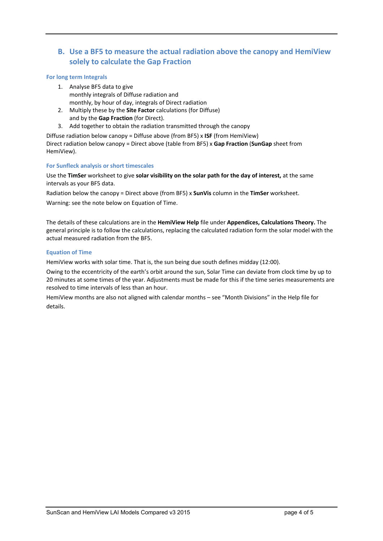# **B. Use a BF5 to measure the actual radiation above the canopy and HemiView solely to calculate the Gap Fraction**

#### **For long term Integrals**

- 1. Analyse BF5 data to give monthly integrals of Diffuse radiation and monthly, by hour of day, integrals of Direct radiation
- 2. Multiply these by the **Site Factor** calculations (for Diffuse) and by the **Gap Fraction** (for Direct).
- 3. Add together to obtain the radiation transmitted through the canopy

Diffuse radiation below canopy = Diffuse above (from BF5) x **ISF** (from HemiView) Direct radiation below canopy = Direct above (table from BF5) x **Gap Fraction** (**SunGap** sheet from HemiView).

#### **For Sunfleck analysis or short timescales**

Use the **TimSer** worksheet to give **solar visibility on the solar path for the day of interest,** at the same intervals as your BF5 data.

Radiation below the canopy = Direct above (from BF5) x **SunVis** column in the **TimSer** worksheet.

Warning: see the note below on Equation of Time.

The details of these calculations are in the **HemiView Help** file under **Appendices, Calculations Theory.** The general principle is to follow the calculations, replacing the calculated radiation form the solar model with the actual measured radiation from the BF5.

#### **Equation of Time**

HemiView works with solar time. That is, the sun being due south defines midday (12:00).

Owing to the eccentricity of the earth's orbit around the sun, Solar Time can deviate from clock time by up to 20 minutes at some times of the year. Adjustments must be made for this if the time series measurements are resolved to time intervals of less than an hour.

HemiView months are also not aligned with calendar months – see "Month Divisions" in the Help file for details.